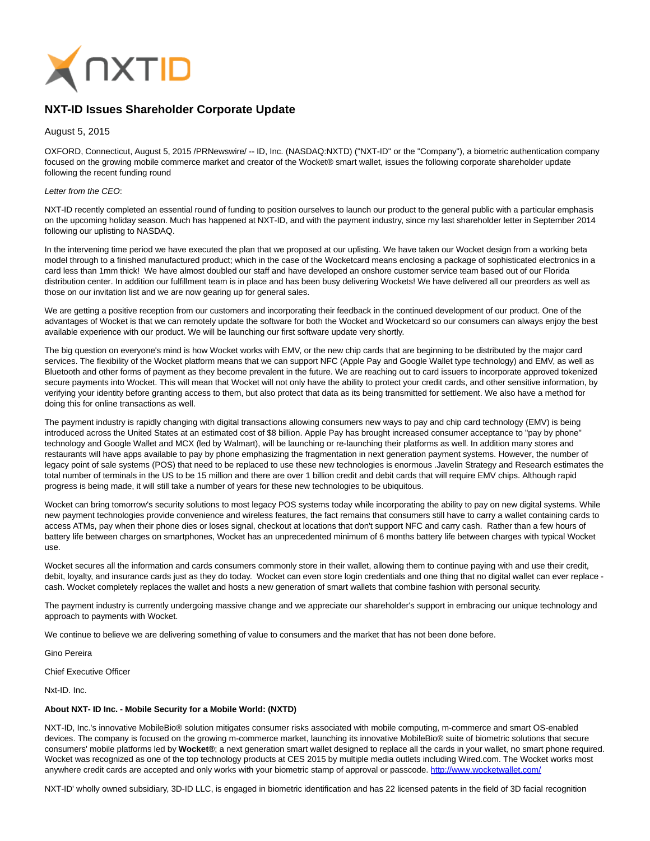

## **NXT-ID Issues Shareholder Corporate Update**

August 5, 2015

OXFORD, Connecticut, August 5, 2015 /PRNewswire/ -- ID, Inc. (NASDAQ:NXTD) ("NXT-ID" or the "Company"), a biometric authentication company focused on the growing mobile commerce market and creator of the Wocket® smart wallet, issues the following corporate shareholder update following the recent funding round

## Letter from the CEO:

NXT-ID recently completed an essential round of funding to position ourselves to launch our product to the general public with a particular emphasis on the upcoming holiday season. Much has happened at NXT-ID, and with the payment industry, since my last shareholder letter in September 2014 following our uplisting to NASDAQ.

In the intervening time period we have executed the plan that we proposed at our uplisting. We have taken our Wocket design from a working beta model through to a finished manufactured product; which in the case of the Wocketcard means enclosing a package of sophisticated electronics in a card less than 1mm thick! We have almost doubled our staff and have developed an onshore customer service team based out of our Florida distribution center. In addition our fulfillment team is in place and has been busy delivering Wockets! We have delivered all our preorders as well as those on our invitation list and we are now gearing up for general sales.

We are getting a positive reception from our customers and incorporating their feedback in the continued development of our product. One of the advantages of Wocket is that we can remotely update the software for both the Wocket and Wocketcard so our consumers can always enjoy the best available experience with our product. We will be launching our first software update very shortly.

The big question on everyone's mind is how Wocket works with EMV, or the new chip cards that are beginning to be distributed by the major card services. The flexibility of the Wocket platform means that we can support NFC (Apple Pay and Google Wallet type technology) and EMV, as well as Bluetooth and other forms of payment as they become prevalent in the future. We are reaching out to card issuers to incorporate approved tokenized secure payments into Wocket. This will mean that Wocket will not only have the ability to protect your credit cards, and other sensitive information, by verifying your identity before granting access to them, but also protect that data as its being transmitted for settlement. We also have a method for doing this for online transactions as well.

The payment industry is rapidly changing with digital transactions allowing consumers new ways to pay and chip card technology (EMV) is being introduced across the United States at an estimated cost of \$8 billion. Apple Pay has brought increased consumer acceptance to "pay by phone" technology and Google Wallet and MCX (led by Walmart), will be launching or re-launching their platforms as well. In addition many stores and restaurants will have apps available to pay by phone emphasizing the fragmentation in next generation payment systems. However, the number of legacy point of sale systems (POS) that need to be replaced to use these new technologies is enormous .Javelin Strategy and Research estimates the total number of terminals in the US to be 15 million and there are over 1 billion credit and debit cards that will require EMV chips. Although rapid progress is being made, it will still take a number of years for these new technologies to be ubiquitous.

Wocket can bring tomorrow's security solutions to most legacy POS systems today while incorporating the ability to pay on new digital systems. While new payment technologies provide convenience and wireless features, the fact remains that consumers still have to carry a wallet containing cards to access ATMs, pay when their phone dies or loses signal, checkout at locations that don't support NFC and carry cash. Rather than a few hours of battery life between charges on smartphones, Wocket has an unprecedented minimum of 6 months battery life between charges with typical Wocket use.

Wocket secures all the information and cards consumers commonly store in their wallet, allowing them to continue paying with and use their credit, debit, loyalty, and insurance cards just as they do today. Wocket can even store login credentials and one thing that no digital wallet can ever replace cash. Wocket completely replaces the wallet and hosts a new generation of smart wallets that combine fashion with personal security.

The payment industry is currently undergoing massive change and we appreciate our shareholder's support in embracing our unique technology and approach to payments with Wocket.

We continue to believe we are delivering something of value to consumers and the market that has not been done before.

Gino Pereira

Chief Executive Officer

Nxt-ID. Inc.

## **About NXT- ID Inc. - Mobile Security for a Mobile World: (NXTD)**

NXT-ID, Inc.'s innovative MobileBio® solution mitigates consumer risks associated with mobile computing, m-commerce and smart OS-enabled devices. The company is focused on the growing m-commerce market, launching its innovative MobileBio® suite of biometric solutions that secure consumers' mobile platforms led by **Wocket®**; a next generation smart wallet designed to replace all the cards in your wallet, no smart phone required. Wocket was recognized as one of the top technology products at CES 2015 by multiple media outlets including Wired.com. The Wocket works most anywhere credit cards are accepted and only works with your biometric stamp of approval or passcode.<http://www.wocketwallet.com/>

NXT-ID' wholly owned subsidiary, 3D-ID LLC, is engaged in biometric identification and has 22 licensed patents in the field of 3D facial recognition